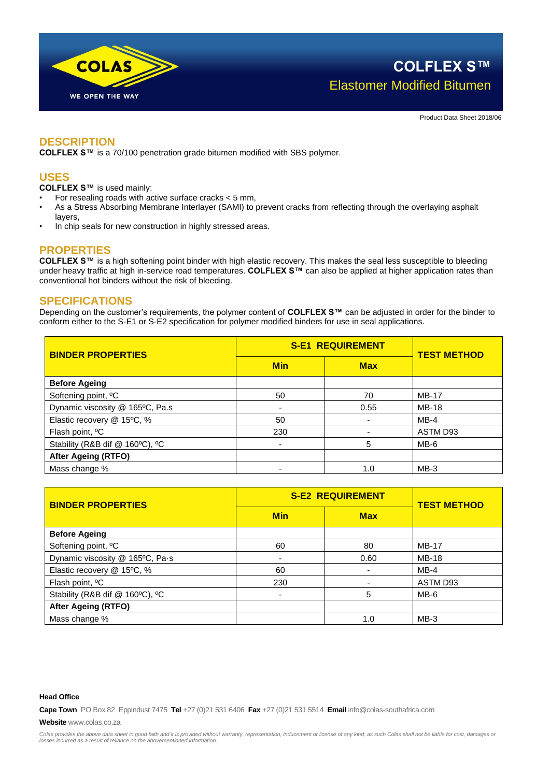

**COLFLEX S™** Elastomer Modified Bitumen

Product Data Sheet 2018/06

### **DESCRIPTION**

**COLFLEX S™** is a 70/100 penetration grade bitumen modified with SBS polymer.

# **USES**

**COLFLEX S™** is used mainly:

- For resealing roads with active surface cracks  $<$  5 mm,
- As a Stress Absorbing Membrane Interlayer (SAMI) to prevent cracks from reflecting through the overlaying asphalt layers,
- In chip seals for new construction in highly stressed areas.

## **PROPERTIES**

**COLFLEX S™** is a high softening point binder with high elastic recovery. This makes the seal less susceptible to bleeding under heavy traffic at high in-service road temperatures. **COLFLEX S™** can also be applied at higher application rates than conventional hot binders without the risk of bleeding.

## **SPECIFICATIONS**

Depending on the customer's requirements, the polymer content of **COLFLEX S™** can be adjusted in order for the binder to conform either to the S-E1 or S-E2 specification for polymer modified binders for use in seal applications.

| <b>BINDER PROPERTIES</b>        | <b>S-E1 REQUIREMENT</b>  |            | <b>TEST METHOD</b> |
|---------------------------------|--------------------------|------------|--------------------|
|                                 | <b>Min</b>               | <b>Max</b> |                    |
| <b>Before Ageing</b>            |                          |            |                    |
| Softening point, <sup>o</sup> C | 50                       | 70         | <b>MB-17</b>       |
| Dynamic viscosity @ 165°C, Pa.s | $\overline{\phantom{a}}$ | 0.55       | $MB-18$            |
| Elastic recovery @ 15°C, %      | 50                       |            | $MB-4$             |
| Flash point, <sup>o</sup> C     | 230                      |            | ASTM D93           |
| Stability (R&B dif @ 160°C), °C | $\blacksquare$           | 5          | MB-6               |
| <b>After Ageing (RTFO)</b>      |                          |            |                    |
| Mass change %                   | $\overline{\phantom{0}}$ | 1.0        | $MB-3$             |

| <b>BINDER PROPERTIES</b>        | <b>S-E2 REQUIREMENT</b>  |            | <b>TEST METHOD</b> |
|---------------------------------|--------------------------|------------|--------------------|
|                                 | <b>Min</b>               | <b>Max</b> |                    |
| <b>Before Ageing</b>            |                          |            |                    |
| Softening point, <sup>o</sup> C | 60                       | 80         | <b>MB-17</b>       |
| Dynamic viscosity @ 165°C, Pa-s | $\overline{\phantom{a}}$ | 0.60       | <b>MB-18</b>       |
| Elastic recovery @ 15°C, %      | 60                       |            | $MB-4$             |
| Flash point, <sup>o</sup> C     | 230                      |            | ASTM D93           |
| Stability (R&B dif @ 160°C), °C | $\blacksquare$           | 5          | $MB-6$             |
| <b>After Ageing (RTFO)</b>      |                          |            |                    |
| Mass change %                   |                          | 1.0        | $MB-3$             |

#### **Head Office**

**Cape Town** PO Box 82 Eppindust 7475 **Tel** +27 (0)21 531 6406 **Fax** +27 (0)21 531 5514 **Email** info@colas-southafrica.com

**Website** www.colas.co.za

*Colas provides the above data sheet in good faith and it is provided without warranty, representation, inducement or license of any kind; as such Colas shall not be liable for cost, damages or losses incurred as a result of reliance on the abovementioned information.*